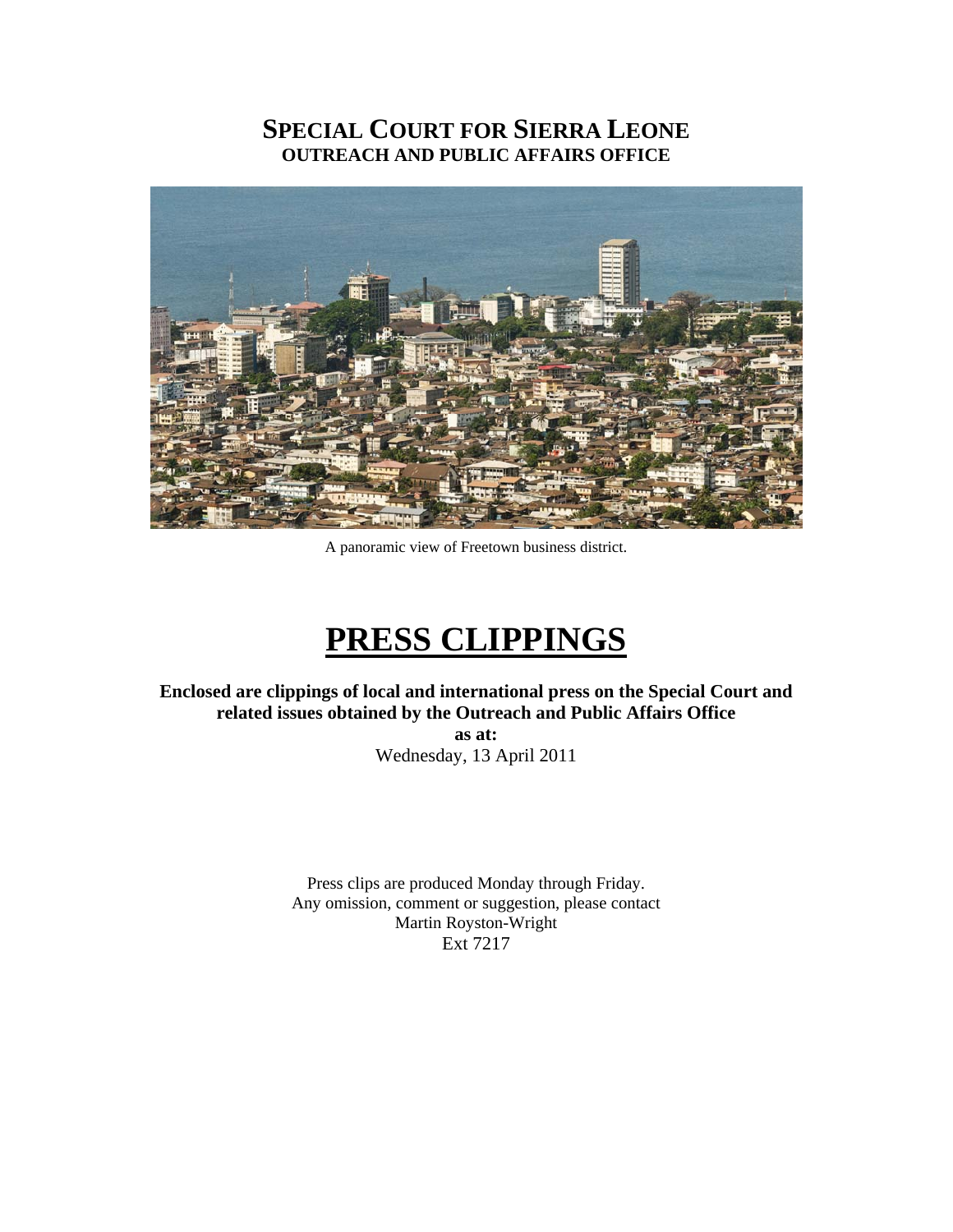# **SPECIAL COURT FOR SIERRA LEONE OUTREACH AND PUBLIC AFFAIRS OFFICE**



A panoramic view of Freetown business district.

# **PRESS CLIPPINGS**

**Enclosed are clippings of local and international press on the Special Court and related issues obtained by the Outreach and Public Affairs Office** 

**as at:**  Wednesday, 13 April 2011

Press clips are produced Monday through Friday. Any omission, comment or suggestion, please contact Martin Royston-Wright Ext 7217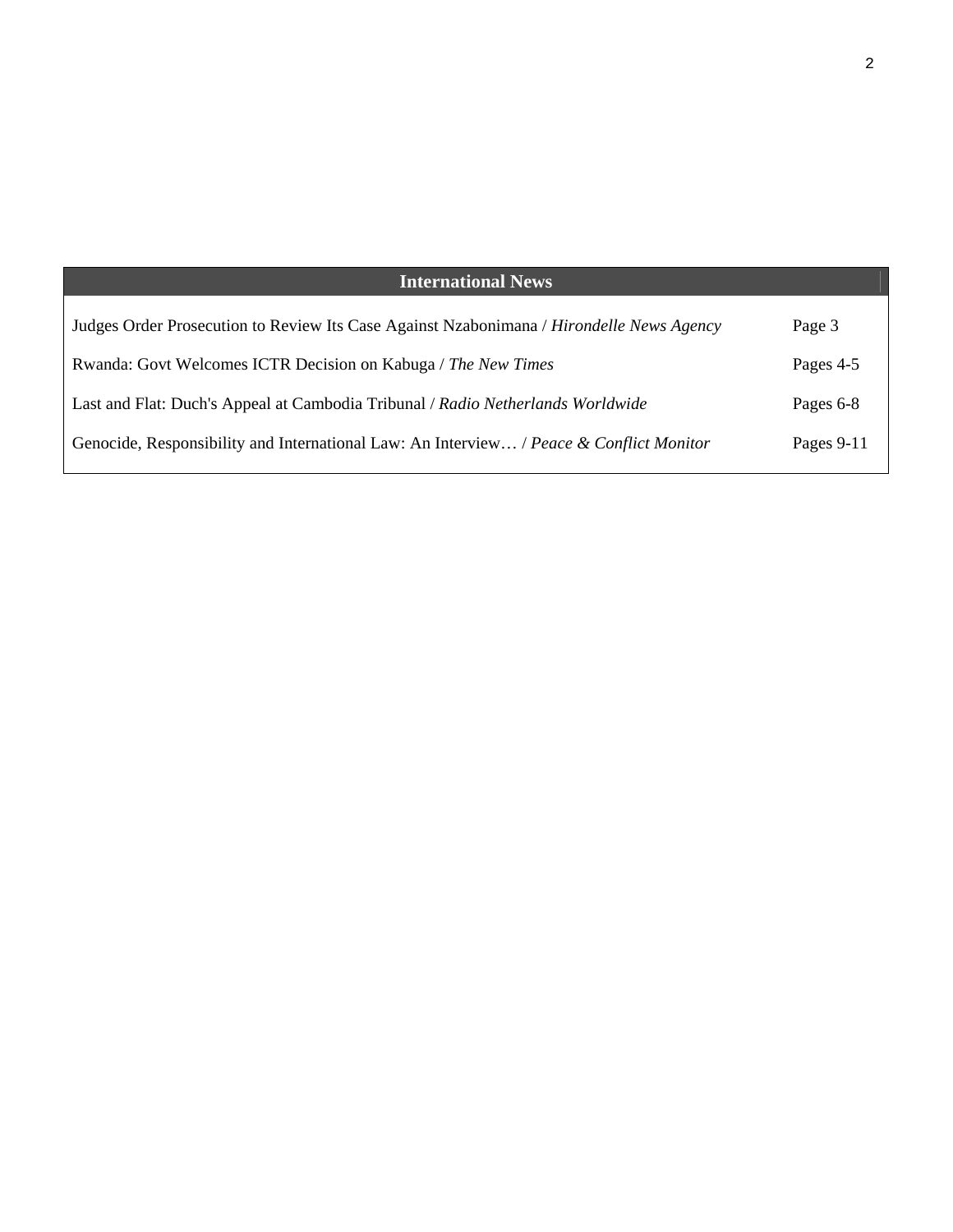| <b>International News</b>                                                                |            |
|------------------------------------------------------------------------------------------|------------|
| Judges Order Prosecution to Review Its Case Against Nzabonimana / Hirondelle News Agency | Page 3     |
| Rwanda: Govt Welcomes ICTR Decision on Kabuga / The New Times                            | Pages 4-5  |
| Last and Flat: Duch's Appeal at Cambodia Tribunal / Radio Netherlands Worldwide          | Pages 6-8  |
| Genocide, Responsibility and International Law: An Interview / Peace & Conflict Monitor  | Pages 9-11 |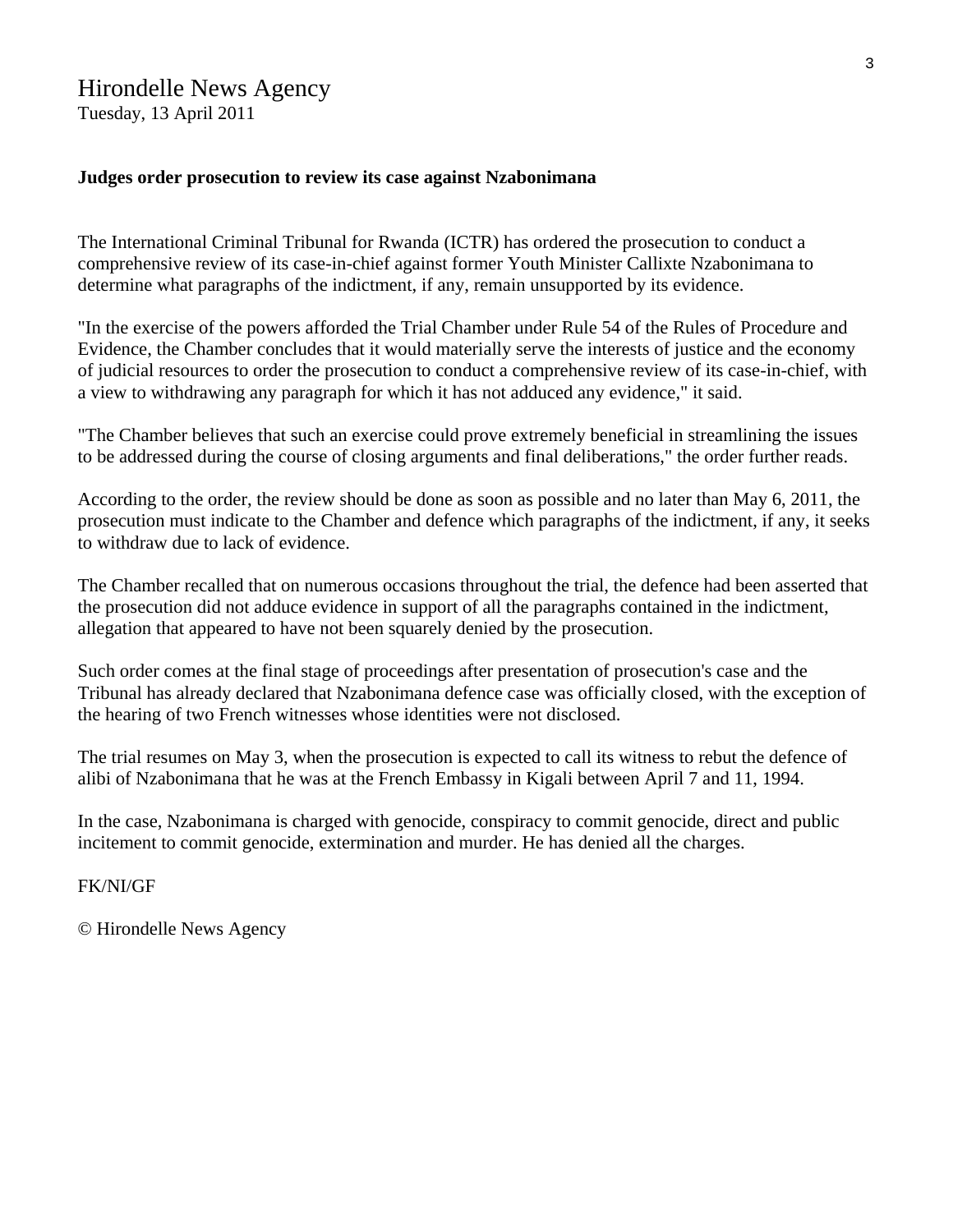# Hirondelle News Agency

Tuesday, 13 April 2011

#### **Judges order prosecution to review its case against Nzabonimana**

The International Criminal Tribunal for Rwanda (ICTR) has ordered the prosecution to conduct a comprehensive review of its case-in-chief against former Youth Minister Callixte Nzabonimana to determine what paragraphs of the indictment, if any, remain unsupported by its evidence.

"In the exercise of the powers afforded the Trial Chamber under Rule 54 of the Rules of Procedure and Evidence, the Chamber concludes that it would materially serve the interests of justice and the economy of judicial resources to order the prosecution to conduct a comprehensive review of its case-in-chief, with a view to withdrawing any paragraph for which it has not adduced any evidence," it said.

"The Chamber believes that such an exercise could prove extremely beneficial in streamlining the issues to be addressed during the course of closing arguments and final deliberations," the order further reads.

According to the order, the review should be done as soon as possible and no later than May 6, 2011, the prosecution must indicate to the Chamber and defence which paragraphs of the indictment, if any, it seeks to withdraw due to lack of evidence.

The Chamber recalled that on numerous occasions throughout the trial, the defence had been asserted that the prosecution did not adduce evidence in support of all the paragraphs contained in the indictment, allegation that appeared to have not been squarely denied by the prosecution.

Such order comes at the final stage of proceedings after presentation of prosecution's case and the Tribunal has already declared that Nzabonimana defence case was officially closed, with the exception of the hearing of two French witnesses whose identities were not disclosed.

The trial resumes on May 3, when the prosecution is expected to call its witness to rebut the defence of alibi of Nzabonimana that he was at the French Embassy in Kigali between April 7 and 11, 1994.

In the case, Nzabonimana is charged with genocide, conspiracy to commit genocide, direct and public incitement to commit genocide, extermination and murder. He has denied all the charges.

FK/NI/GF

© Hirondelle News Agency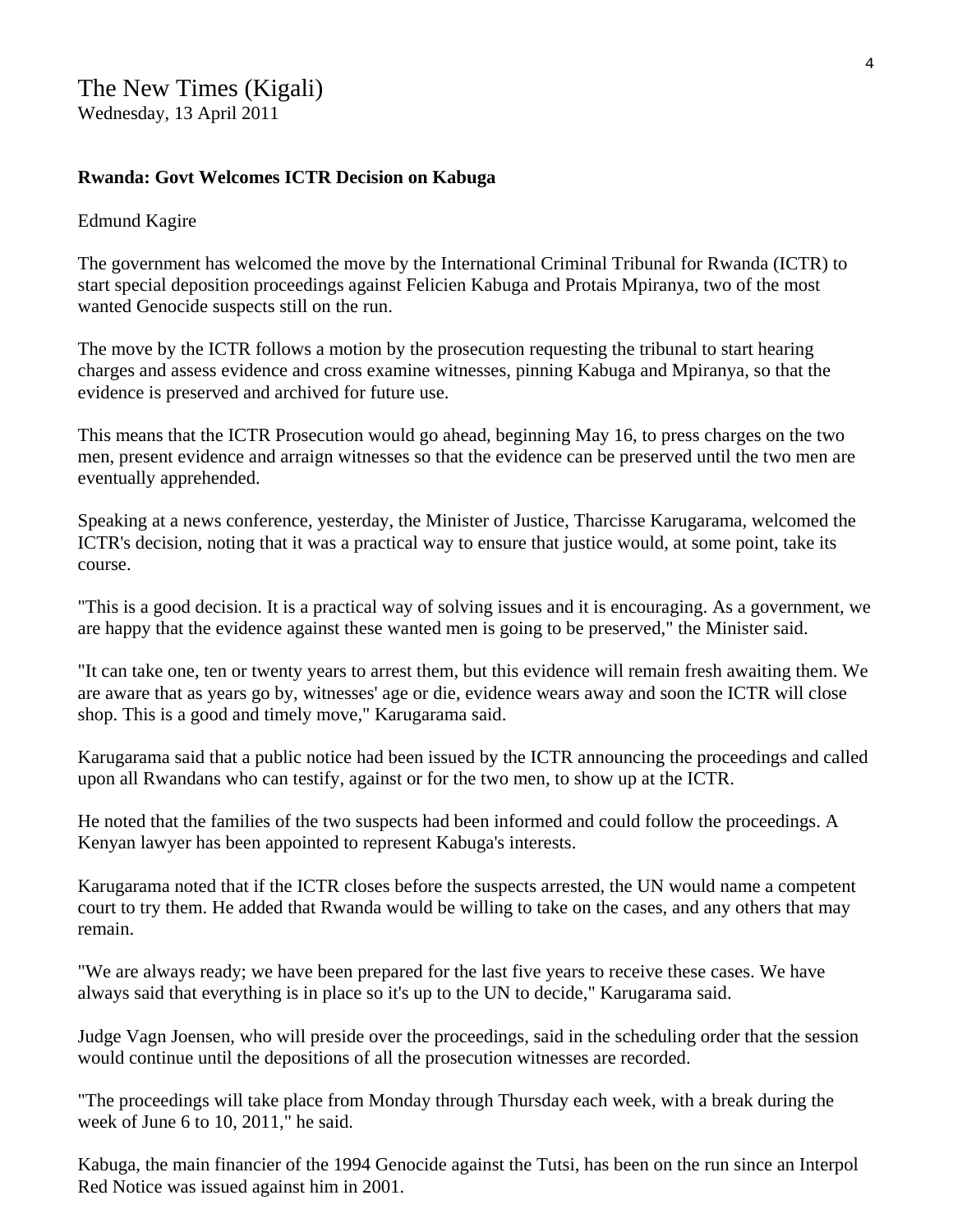# **Rwanda: Govt Welcomes ICTR Decision on Kabuga**

### Edmund Kagire

The government has welcomed the move by the International Criminal Tribunal for Rwanda (ICTR) to start special deposition proceedings against Felicien Kabuga and Protais Mpiranya, two of the most wanted Genocide suspects still on the run.

The move by the ICTR follows a motion by the prosecution requesting the tribunal to start hearing charges and assess evidence and cross examine witnesses, pinning Kabuga and Mpiranya, so that the evidence is preserved and archived for future use.

This means that the ICTR Prosecution would go ahead, beginning May 16, to press charges on the two men, present evidence and arraign witnesses so that the evidence can be preserved until the two men are eventually apprehended.

Speaking at a news conference, yesterday, the Minister of Justice, Tharcisse Karugarama, welcomed the ICTR's decision, noting that it was a practical way to ensure that justice would, at some point, take its course.

"This is a good decision. It is a practical way of solving issues and it is encouraging. As a government, we are happy that the evidence against these wanted men is going to be preserved," the Minister said.

"It can take one, ten or twenty years to arrest them, but this evidence will remain fresh awaiting them. We are aware that as years go by, witnesses' age or die, evidence wears away and soon the ICTR will close shop. This is a good and timely move," Karugarama said.

Karugarama said that a public notice had been issued by the ICTR announcing the proceedings and called upon all Rwandans who can testify, against or for the two men, to show up at the ICTR.

He noted that the families of the two suspects had been informed and could follow the proceedings. A Kenyan lawyer has been appointed to represent Kabuga's interests.

Karugarama noted that if the ICTR closes before the suspects arrested, the UN would name a competent court to try them. He added that Rwanda would be willing to take on the cases, and any others that may remain.

"We are always ready; we have been prepared for the last five years to receive these cases. We have always said that everything is in place so it's up to the UN to decide," Karugarama said.

Judge Vagn Joensen, who will preside over the proceedings, said in the scheduling order that the session would continue until the depositions of all the prosecution witnesses are recorded.

"The proceedings will take place from Monday through Thursday each week, with a break during the week of June 6 to 10, 2011," he said.

Kabuga, the main financier of the 1994 Genocide against the Tutsi, has been on the run since an Interpol Red Notice was issued against him in 2001.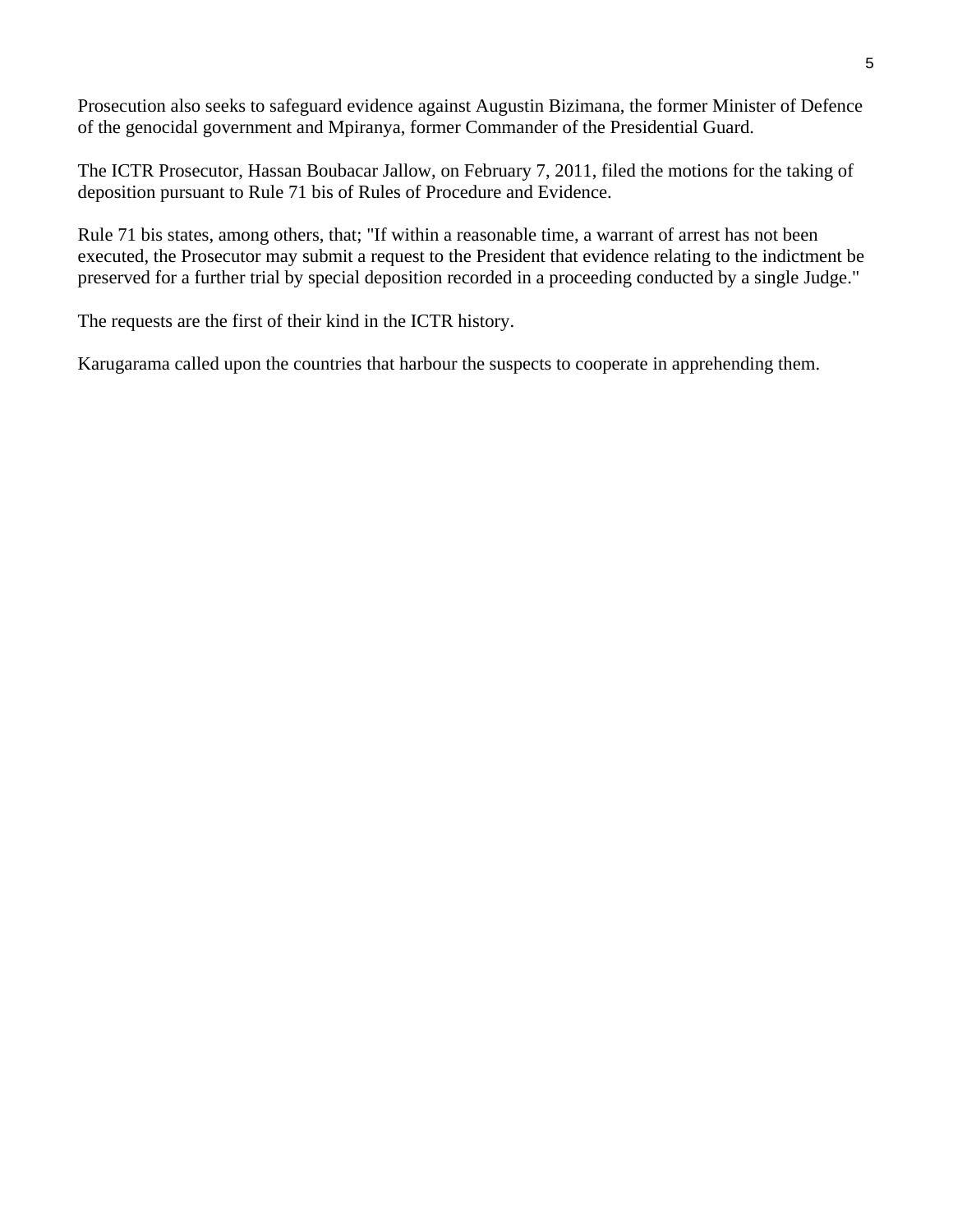Prosecution also seeks to safeguard evidence against Augustin Bizimana, the former Minister of Defence of the genocidal government and Mpiranya, former Commander of the Presidential Guard.

The ICTR Prosecutor, Hassan Boubacar Jallow, on February 7, 2011, filed the motions for the taking of deposition pursuant to Rule 71 bis of Rules of Procedure and Evidence.

Rule 71 bis states, among others, that; "If within a reasonable time, a warrant of arrest has not been executed, the Prosecutor may submit a request to the President that evidence relating to the indictment be preserved for a further trial by special deposition recorded in a proceeding conducted by a single Judge."

The requests are the first of their kind in the ICTR history.

Karugarama called upon the countries that harbour the suspects to cooperate in apprehending them.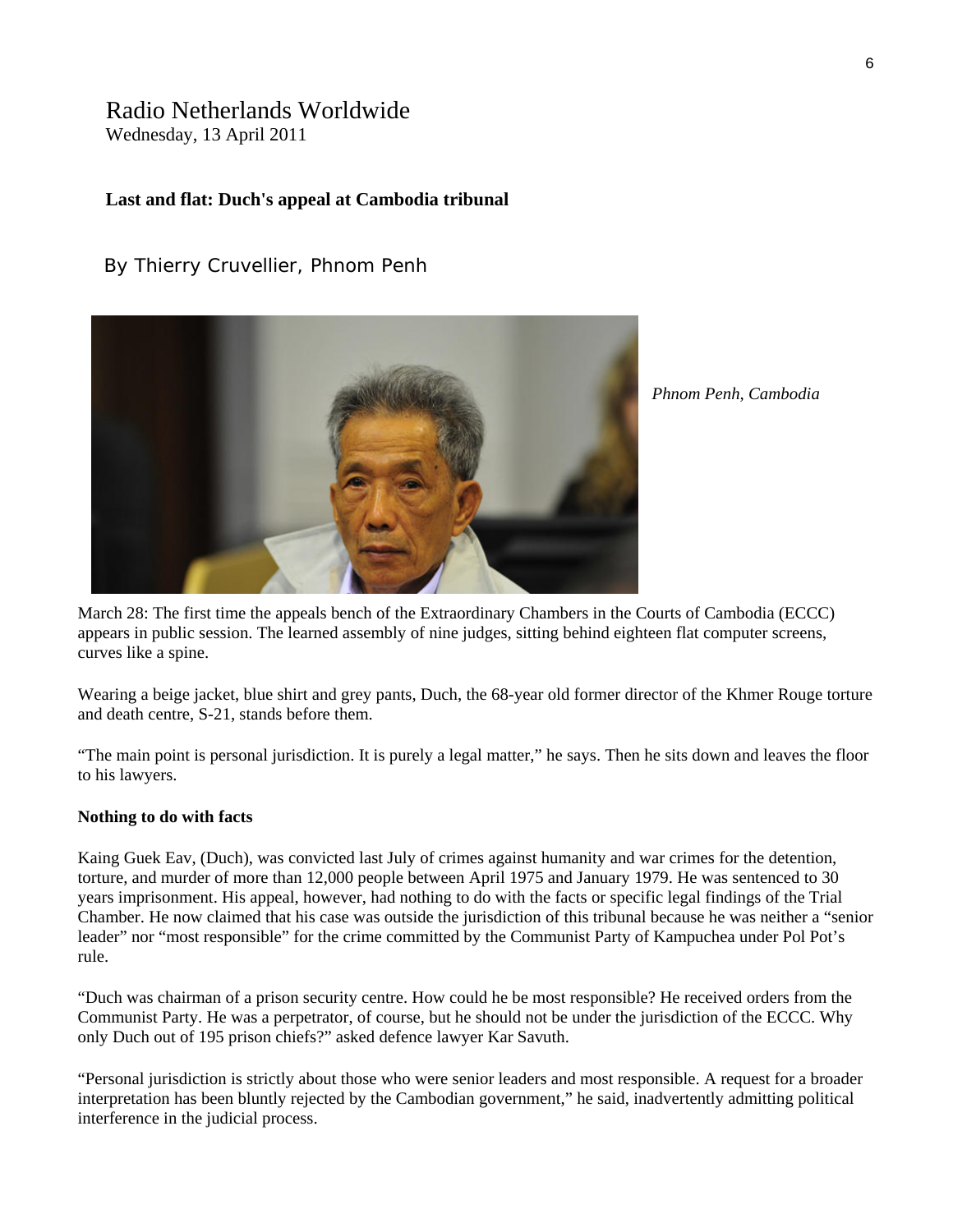# Radio Netherlands Worldwide

Wednesday, 13 April 2011

# **Last and flat: Duch's appeal at Cambodia tribunal**

# By Thierry Cruvellier, Phnom Penh



*Phnom Penh, Cambodia* 

March 28: The first time the appeals bench of the Extraordinary Chambers in the Courts of Cambodia (ECCC) appears in public session. The learned assembly of nine judges, sitting behind eighteen flat computer screens, curves like a spine.

Wearing a beige jacket, blue shirt and grey pants, Duch, the 68-year old former director of the Khmer Rouge torture and death centre, S-21, stands before them.

"The main point is personal jurisdiction. It is purely a legal matter," he says. Then he sits down and leaves the floor to his lawyers.

#### **Nothing to do with facts**

Kaing Guek Eav, (Duch), was convicted last July of crimes against humanity and war crimes for the detention, torture, and murder of more than 12,000 people between April 1975 and January 1979. He was sentenced to 30 years imprisonment. His appeal, however, had nothing to do with the facts or specific legal findings of the Trial Chamber. He now claimed that his case was outside the jurisdiction of this tribunal because he was neither a "senior leader" nor "most responsible" for the crime committed by the Communist Party of Kampuchea under Pol Pot's rule.

"Duch was chairman of a prison security centre. How could he be most responsible? He received orders from the Communist Party. He was a perpetrator, of course, but he should not be under the jurisdiction of the ECCC. Why only Duch out of 195 prison chiefs?" asked defence lawyer Kar Savuth.

"Personal jurisdiction is strictly about those who were senior leaders and most responsible. A request for a broader interpretation has been bluntly rejected by the Cambodian government," he said, inadvertently admitting political interference in the judicial process.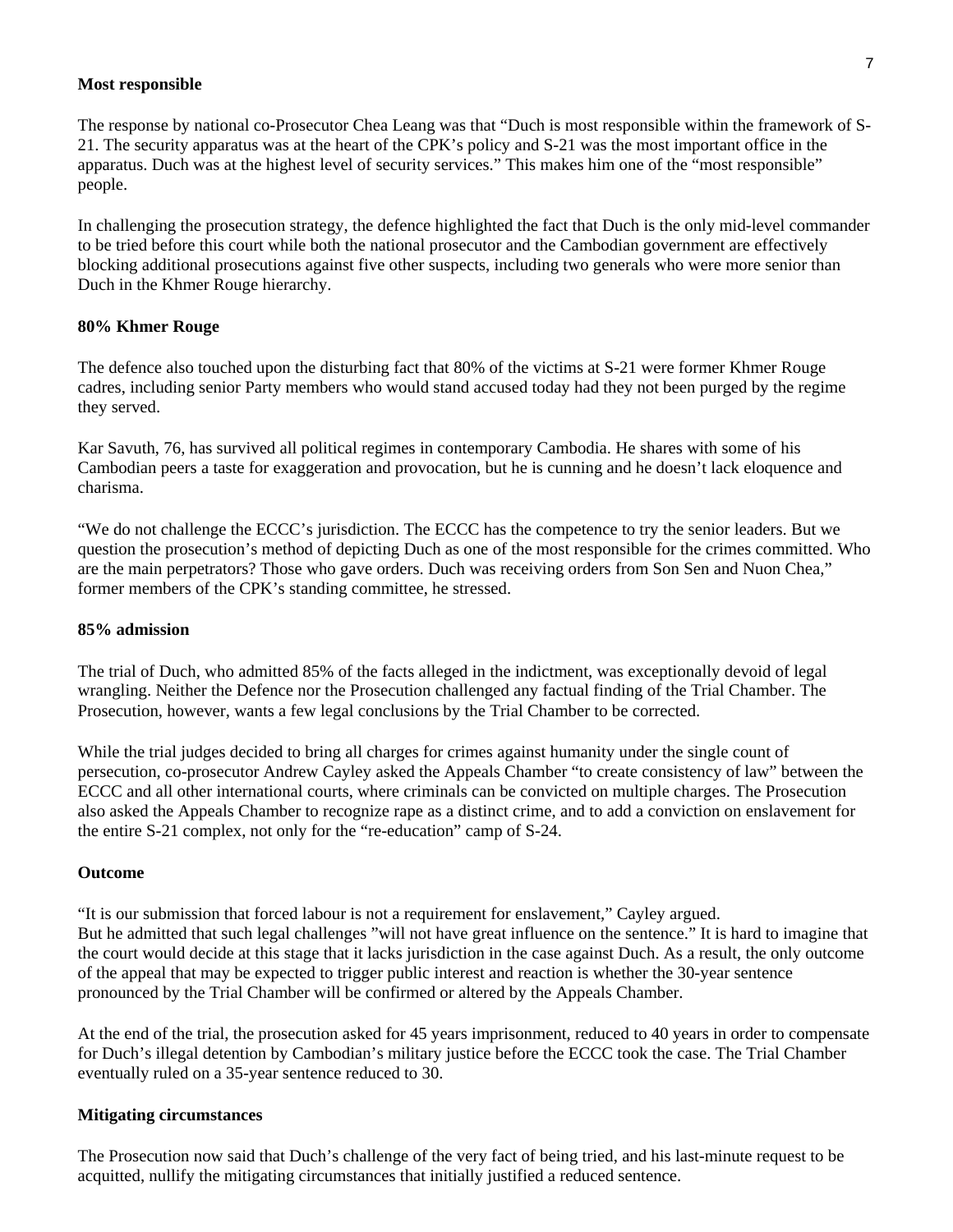#### **Most responsible**

The response by national co-Prosecutor Chea Leang was that "Duch is most responsible within the framework of S-21. The security apparatus was at the heart of the CPK's policy and S-21 was the most important office in the apparatus. Duch was at the highest level of security services." This makes him one of the "most responsible" people.

In challenging the prosecution strategy, the defence highlighted the fact that Duch is the only mid-level commander to be tried before this court while both the national prosecutor and the Cambodian government are effectively blocking additional prosecutions against five other suspects, including two generals who were more senior than Duch in the Khmer Rouge hierarchy.

#### **80% Khmer Rouge**

The defence also touched upon the disturbing fact that 80% of the victims at S-21 were former Khmer Rouge cadres, including senior Party members who would stand accused today had they not been purged by the regime they served.

Kar Savuth, 76, has survived all political regimes in contemporary Cambodia. He shares with some of his Cambodian peers a taste for exaggeration and provocation, but he is cunning and he doesn't lack eloquence and charisma.

"We do not challenge the ECCC's jurisdiction. The ECCC has the competence to try the senior leaders. But we question the prosecution's method of depicting Duch as one of the most responsible for the crimes committed. Who are the main perpetrators? Those who gave orders. Duch was receiving orders from Son Sen and Nuon Chea," former members of the CPK's standing committee, he stressed.

#### **85% admission**

The trial of Duch, who admitted 85% of the facts alleged in the indictment, was exceptionally devoid of legal wrangling. Neither the Defence nor the Prosecution challenged any factual finding of the Trial Chamber. The Prosecution, however, wants a few legal conclusions by the Trial Chamber to be corrected.

While the trial judges decided to bring all charges for crimes against humanity under the single count of persecution, co-prosecutor Andrew Cayley asked the Appeals Chamber "to create consistency of law" between the ECCC and all other international courts, where criminals can be convicted on multiple charges. The Prosecution also asked the Appeals Chamber to recognize rape as a distinct crime, and to add a conviction on enslavement for the entire S-21 complex, not only for the "re-education" camp of S-24.

#### **Outcome**

"It is our submission that forced labour is not a requirement for enslavement," Cayley argued. But he admitted that such legal challenges "will not have great influence on the sentence." It is hard to imagine that the court would decide at this stage that it lacks jurisdiction in the case against Duch. As a result, the only outcome of the appeal that may be expected to trigger public interest and reaction is whether the 30-year sentence pronounced by the Trial Chamber will be confirmed or altered by the Appeals Chamber.

At the end of the trial, the prosecution asked for 45 years imprisonment, reduced to 40 years in order to compensate for Duch's illegal detention by Cambodian's military justice before the ECCC took the case. The Trial Chamber eventually ruled on a 35-year sentence reduced to 30.

#### **Mitigating circumstances**

The Prosecution now said that Duch's challenge of the very fact of being tried, and his last-minute request to be acquitted, nullify the mitigating circumstances that initially justified a reduced sentence.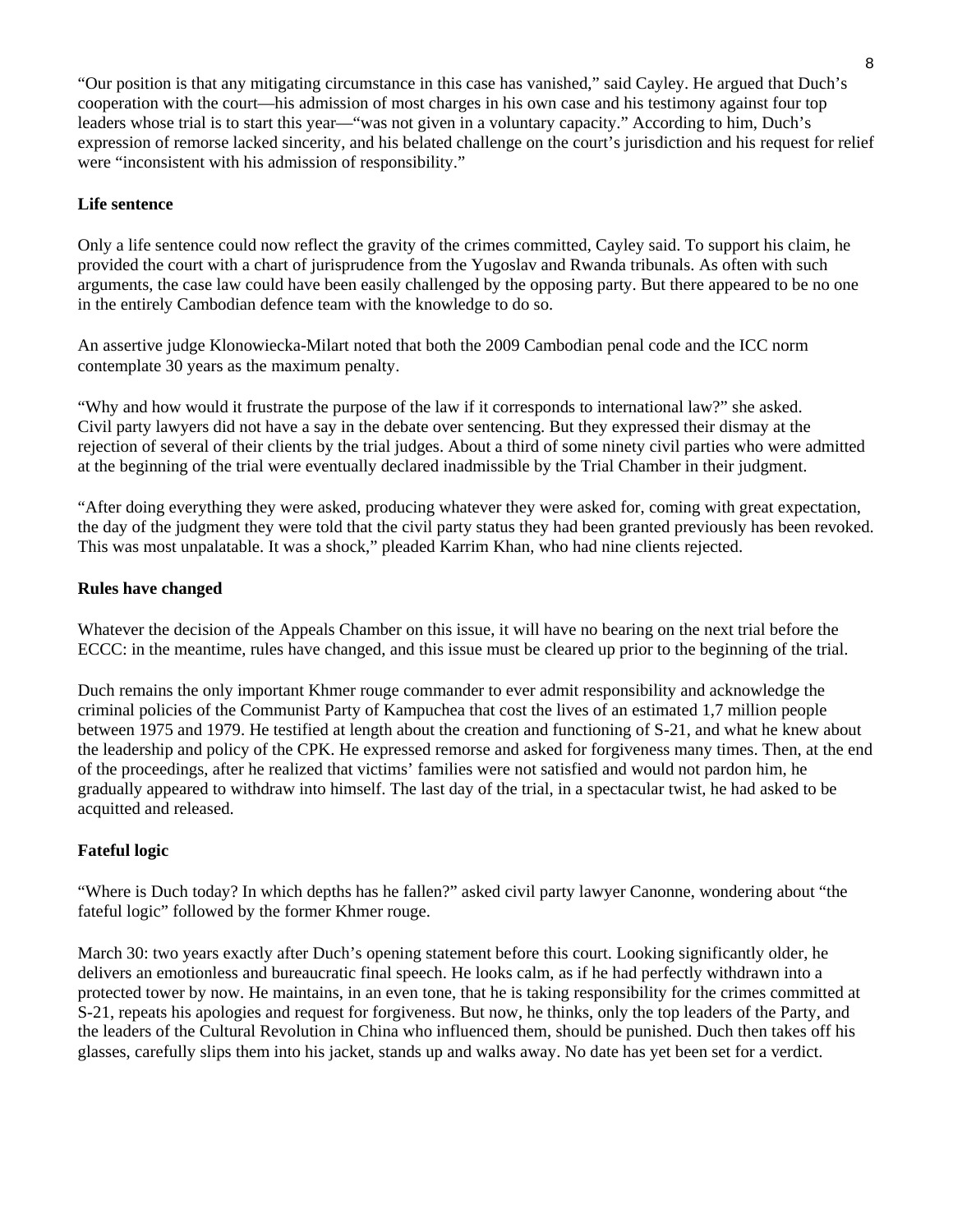"Our position is that any mitigating circumstance in this case has vanished," said Cayley. He argued that Duch's cooperation with the court—his admission of most charges in his own case and his testimony against four top leaders whose trial is to start this year—"was not given in a voluntary capacity." According to him, Duch's expression of remorse lacked sincerity, and his belated challenge on the court's jurisdiction and his request for relief were "inconsistent with his admission of responsibility."

#### **Life sentence**

Only a life sentence could now reflect the gravity of the crimes committed, Cayley said. To support his claim, he provided the court with a chart of jurisprudence from the Yugoslav and Rwanda tribunals. As often with such arguments, the case law could have been easily challenged by the opposing party. But there appeared to be no one in the entirely Cambodian defence team with the knowledge to do so.

An assertive judge Klonowiecka-Milart noted that both the 2009 Cambodian penal code and the ICC norm contemplate 30 years as the maximum penalty.

"Why and how would it frustrate the purpose of the law if it corresponds to international law?" she asked. Civil party lawyers did not have a say in the debate over sentencing. But they expressed their dismay at the rejection of several of their clients by the trial judges. About a third of some ninety civil parties who were admitted at the beginning of the trial were eventually declared inadmissible by the Trial Chamber in their judgment.

"After doing everything they were asked, producing whatever they were asked for, coming with great expectation, the day of the judgment they were told that the civil party status they had been granted previously has been revoked. This was most unpalatable. It was a shock," pleaded Karrim Khan, who had nine clients rejected.

#### **Rules have changed**

Whatever the decision of the Appeals Chamber on this issue, it will have no bearing on the next trial before the ECCC: in the meantime, rules have changed, and this issue must be cleared up prior to the beginning of the trial.

Duch remains the only important Khmer rouge commander to ever admit responsibility and acknowledge the criminal policies of the Communist Party of Kampuchea that cost the lives of an estimated 1,7 million people between 1975 and 1979. He testified at length about the creation and functioning of S-21, and what he knew about the leadership and policy of the CPK. He expressed remorse and asked for forgiveness many times. Then, at the end of the proceedings, after he realized that victims' families were not satisfied and would not pardon him, he gradually appeared to withdraw into himself. The last day of the trial, in a spectacular twist, he had asked to be acquitted and released.

### **Fateful logic**

"Where is Duch today? In which depths has he fallen?" asked civil party lawyer Canonne, wondering about "the fateful logic" followed by the former Khmer rouge.

March 30: two years exactly after Duch's opening statement before this court. Looking significantly older, he delivers an emotionless and bureaucratic final speech. He looks calm, as if he had perfectly withdrawn into a protected tower by now. He maintains, in an even tone, that he is taking responsibility for the crimes committed at S-21, repeats his apologies and request for forgiveness. But now, he thinks, only the top leaders of the Party, and the leaders of the Cultural Revolution in China who influenced them, should be punished. Duch then takes off his glasses, carefully slips them into his jacket, stands up and walks away. No date has yet been set for a verdict.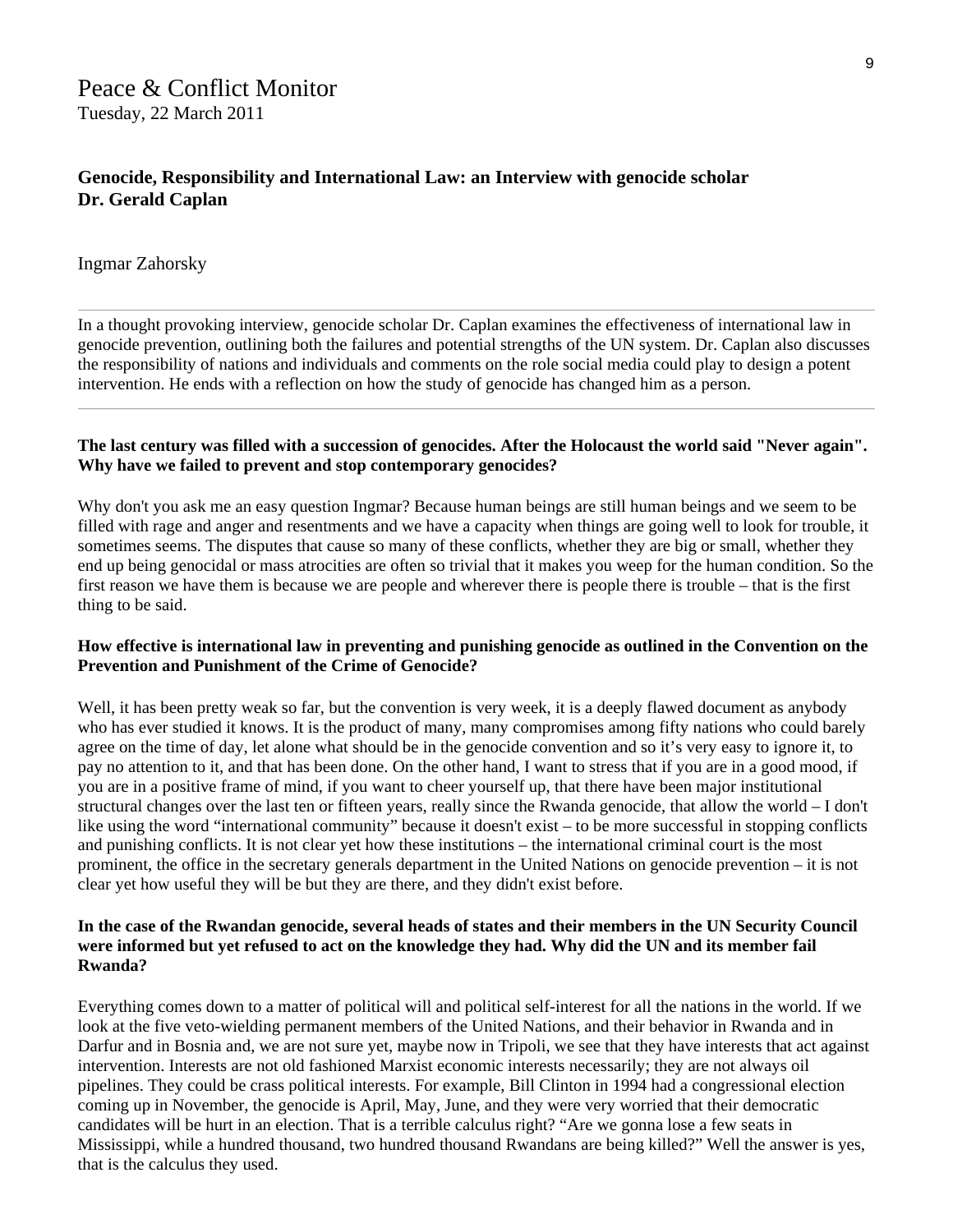# Peace & Conflict Monitor Tuesday, 22 March 2011

### **Genocide, Responsibility and International Law: an Interview with genocide scholar Dr. Gerald Caplan**

#### Ingmar Zahorsky

In a thought provoking interview, genocide scholar Dr. Caplan examines the effectiveness of international law in genocide prevention, outlining both the failures and potential strengths of the UN system. Dr. Caplan also discusses the responsibility of nations and individuals and comments on the role social media could play to design a potent intervention. He ends with a reflection on how the study of genocide has changed him as a person.

#### **The last century was filled with a succession of genocides. After the Holocaust the world said "Never again". Why have we failed to prevent and stop contemporary genocides?**

Why don't you ask me an easy question Ingmar? Because human beings are still human beings and we seem to be filled with rage and anger and resentments and we have a capacity when things are going well to look for trouble, it sometimes seems. The disputes that cause so many of these conflicts, whether they are big or small, whether they end up being genocidal or mass atrocities are often so trivial that it makes you weep for the human condition. So the first reason we have them is because we are people and wherever there is people there is trouble – that is the first thing to be said.

#### **How effective is international law in preventing and punishing genocide as outlined in the Convention on the Prevention and Punishment of the Crime of Genocide?**

Well, it has been pretty weak so far, but the convention is very week, it is a deeply flawed document as anybody who has ever studied it knows. It is the product of many, many compromises among fifty nations who could barely agree on the time of day, let alone what should be in the genocide convention and so it's very easy to ignore it, to pay no attention to it, and that has been done. On the other hand, I want to stress that if you are in a good mood, if you are in a positive frame of mind, if you want to cheer yourself up, that there have been major institutional structural changes over the last ten or fifteen years, really since the Rwanda genocide, that allow the world – I don't like using the word "international community" because it doesn't exist – to be more successful in stopping conflicts and punishing conflicts. It is not clear yet how these institutions – the international criminal court is the most prominent, the office in the secretary generals department in the United Nations on genocide prevention – it is not clear yet how useful they will be but they are there, and they didn't exist before.

#### **In the case of the Rwandan genocide, several heads of states and their members in the UN Security Council were informed but yet refused to act on the knowledge they had. Why did the UN and its member fail Rwanda?**

Everything comes down to a matter of political will and political self-interest for all the nations in the world. If we look at the five veto-wielding permanent members of the United Nations, and their behavior in Rwanda and in Darfur and in Bosnia and, we are not sure yet, maybe now in Tripoli, we see that they have interests that act against intervention. Interests are not old fashioned Marxist economic interests necessarily; they are not always oil pipelines. They could be crass political interests. For example, Bill Clinton in 1994 had a congressional election coming up in November, the genocide is April, May, June, and they were very worried that their democratic candidates will be hurt in an election. That is a terrible calculus right? "Are we gonna lose a few seats in Mississippi, while a hundred thousand, two hundred thousand Rwandans are being killed?" Well the answer is yes, that is the calculus they used.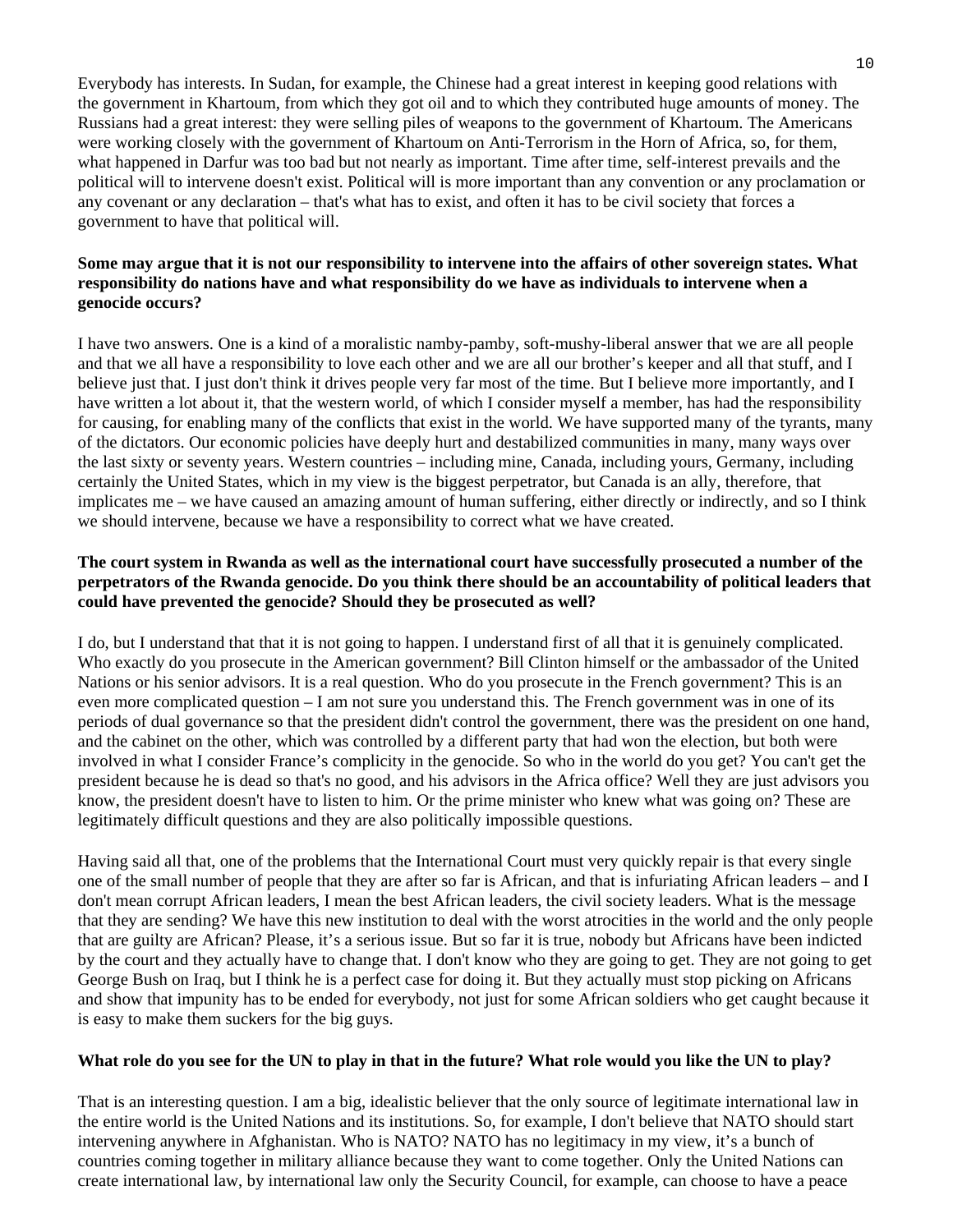Everybody has interests. In Sudan, for example, the Chinese had a great interest in keeping good relations with the government in Khartoum, from which they got oil and to which they contributed huge amounts of money. The Russians had a great interest: they were selling piles of weapons to the government of Khartoum. The Americans were working closely with the government of Khartoum on Anti-Terrorism in the Horn of Africa, so, for them, what happened in Darfur was too bad but not nearly as important. Time after time, self-interest prevails and the political will to intervene doesn't exist. Political will is more important than any convention or any proclamation or any covenant or any declaration – that's what has to exist, and often it has to be civil society that forces a government to have that political will.

#### **Some may argue that it is not our responsibility to intervene into the affairs of other sovereign states. What responsibility do nations have and what responsibility do we have as individuals to intervene when a genocide occurs?**

I have two answers. One is a kind of a moralistic namby-pamby, soft-mushy-liberal answer that we are all people and that we all have a responsibility to love each other and we are all our brother's keeper and all that stuff, and I believe just that. I just don't think it drives people very far most of the time. But I believe more importantly, and I have written a lot about it, that the western world, of which I consider myself a member, has had the responsibility for causing, for enabling many of the conflicts that exist in the world. We have supported many of the tyrants, many of the dictators. Our economic policies have deeply hurt and destabilized communities in many, many ways over the last sixty or seventy years. Western countries – including mine, Canada, including yours, Germany, including certainly the United States, which in my view is the biggest perpetrator, but Canada is an ally, therefore, that implicates me – we have caused an amazing amount of human suffering, either directly or indirectly, and so I think we should intervene, because we have a responsibility to correct what we have created.

#### **The court system in Rwanda as well as the international court have successfully prosecuted a number of the perpetrators of the Rwanda genocide. Do you think there should be an accountability of political leaders that could have prevented the genocide? Should they be prosecuted as well?**

I do, but I understand that that it is not going to happen. I understand first of all that it is genuinely complicated. Who exactly do you prosecute in the American government? Bill Clinton himself or the ambassador of the United Nations or his senior advisors. It is a real question. Who do you prosecute in the French government? This is an even more complicated question – I am not sure you understand this. The French government was in one of its periods of dual governance so that the president didn't control the government, there was the president on one hand, and the cabinet on the other, which was controlled by a different party that had won the election, but both were involved in what I consider France's complicity in the genocide. So who in the world do you get? You can't get the president because he is dead so that's no good, and his advisors in the Africa office? Well they are just advisors you know, the president doesn't have to listen to him. Or the prime minister who knew what was going on? These are legitimately difficult questions and they are also politically impossible questions.

Having said all that, one of the problems that the International Court must very quickly repair is that every single one of the small number of people that they are after so far is African, and that is infuriating African leaders – and I don't mean corrupt African leaders, I mean the best African leaders, the civil society leaders. What is the message that they are sending? We have this new institution to deal with the worst atrocities in the world and the only people that are guilty are African? Please, it's a serious issue. But so far it is true, nobody but Africans have been indicted by the court and they actually have to change that. I don't know who they are going to get. They are not going to get George Bush on Iraq, but I think he is a perfect case for doing it. But they actually must stop picking on Africans and show that impunity has to be ended for everybody, not just for some African soldiers who get caught because it is easy to make them suckers for the big guys.

#### **What role do you see for the UN to play in that in the future? What role would you like the UN to play?**

That is an interesting question. I am a big, idealistic believer that the only source of legitimate international law in the entire world is the United Nations and its institutions. So, for example, I don't believe that NATO should start intervening anywhere in Afghanistan. Who is NATO? NATO has no legitimacy in my view, it's a bunch of countries coming together in military alliance because they want to come together. Only the United Nations can create international law, by international law only the Security Council, for example, can choose to have a peace